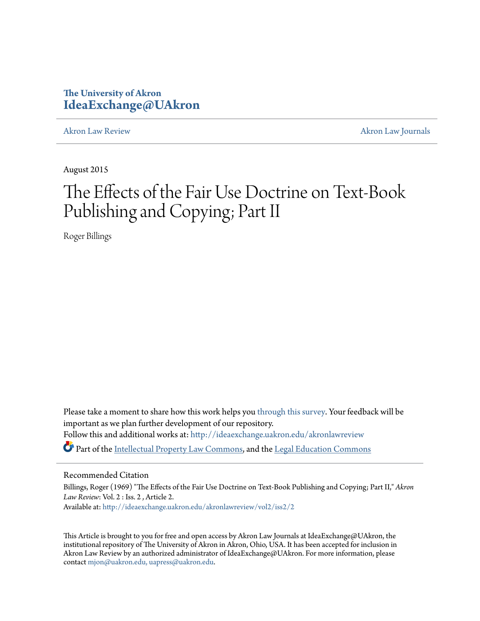# **The University of Akron [IdeaExchange@UAkron](http://ideaexchange.uakron.edu?utm_source=ideaexchange.uakron.edu%2Fakronlawreview%2Fvol2%2Fiss2%2F2&utm_medium=PDF&utm_campaign=PDFCoverPages)**

[Akron Law Review](http://ideaexchange.uakron.edu/akronlawreview?utm_source=ideaexchange.uakron.edu%2Fakronlawreview%2Fvol2%2Fiss2%2F2&utm_medium=PDF&utm_campaign=PDFCoverPages) [Akron Law Journals](http://ideaexchange.uakron.edu/akronlawjournals?utm_source=ideaexchange.uakron.edu%2Fakronlawreview%2Fvol2%2Fiss2%2F2&utm_medium=PDF&utm_campaign=PDFCoverPages)

August 2015

# The Effects of the Fair Use Doctrine on Text-Book Publishing and Copying; Part II

Roger Billings

Please take a moment to share how this work helps you [through this survey.](http://survey.az1.qualtrics.com/SE/?SID=SV_eEVH54oiCbOw05f&URL=http://ideaexchange.uakron.edu/akronlawreview/vol2/iss2/2) Your feedback will be important as we plan further development of our repository. Follow this and additional works at: [http://ideaexchange.uakron.edu/akronlawreview](http://ideaexchange.uakron.edu/akronlawreview?utm_source=ideaexchange.uakron.edu%2Fakronlawreview%2Fvol2%2Fiss2%2F2&utm_medium=PDF&utm_campaign=PDFCoverPages) Part of the [Intellectual Property Law Commons,](http://network.bepress.com/hgg/discipline/896?utm_source=ideaexchange.uakron.edu%2Fakronlawreview%2Fvol2%2Fiss2%2F2&utm_medium=PDF&utm_campaign=PDFCoverPages) and the [Legal Education Commons](http://network.bepress.com/hgg/discipline/857?utm_source=ideaexchange.uakron.edu%2Fakronlawreview%2Fvol2%2Fiss2%2F2&utm_medium=PDF&utm_campaign=PDFCoverPages)

# Recommended Citation

Billings, Roger (1969) "The Effects of the Fair Use Doctrine on Text-Book Publishing and Copying; Part II," *Akron Law Review*: Vol. 2 : Iss. 2 , Article 2. Available at: [http://ideaexchange.uakron.edu/akronlawreview/vol2/iss2/2](http://ideaexchange.uakron.edu/akronlawreview/vol2/iss2/2?utm_source=ideaexchange.uakron.edu%2Fakronlawreview%2Fvol2%2Fiss2%2F2&utm_medium=PDF&utm_campaign=PDFCoverPages)

This Article is brought to you for free and open access by Akron Law Journals at IdeaExchange@UAkron, the institutional repository of The University of Akron in Akron, Ohio, USA. It has been accepted for inclusion in Akron Law Review by an authorized administrator of IdeaExchange@UAkron. For more information, please contact [mjon@uakron.edu, uapress@uakron.edu.](mailto:mjon@uakron.edu,%20uapress@uakron.edu)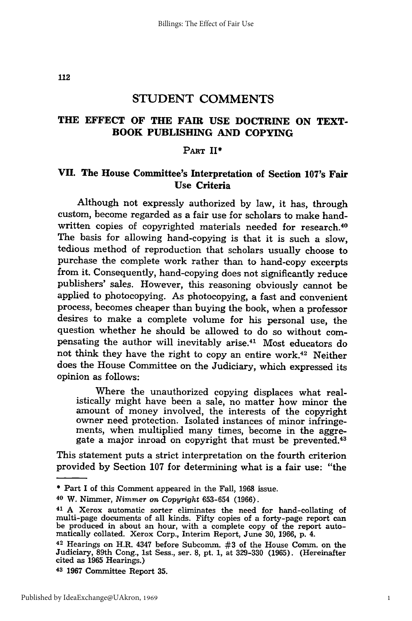# **THE EFFECT OF THE FAIR USE DOCTRINE ON TEXT-BOOK PUBLISHING AND COPYING**

### **PART II\***

# VII. The House Committee's Interpretation of Section 107's Fair **Use Criteria**

Although not expressly authorized **by** law, it has, through custom, become regarded as a fair use for scholars to make handwritten copies of copyrighted materials needed for research.<sup>40</sup> The basis for allowing hand-copying is that it is such a slow, tedious method of reproduction that scholars usually choose to purchase the complete work rather than to hand-copy excerpts from it. Consequently, hand-copying does not significantly reduce publishers' sales. However, this reasoning obviously cannot be applied to photocopying. As photocopying, a fast and convenient process, becomes cheaper than buying the book, when a professor desires to make a complete volume for his personal use, the question whether he should be allowed to do so without compensating the author will inevitably arise.41 Most educators do not think they have the right to copy an entire work.42 Neither does the House Committee on the Judiciary, which expressed its opinion as follows:

Where the unauthorized copying displaces what realistically might have been a sale, no matter how minor the amount of money involved, the interests of the copyright owner need protection. Isolated instances of minor infringements, when multiplied many times, become in the aggregate a major inroad on copyright that must be prevented.<sup>43</sup>

This statement puts a strict interpretation on the fourth criterion provided by Section 107 for determining what is a fair use: "the

**<sup>\*</sup>** Part I of this Comment appeared in the Fall, 1968 issue.

**<sup>40</sup>**W. Nimmer, *Nimmer on Copyright* 653-654 (1966).

<sup>41</sup>**A** Xerox automatic sorter eliminates the need for hand-collating of multi-page documents of all kinds. Fifty copies of a forty-page report can be produced in about an hour, with a complete copy of the report auto-<br>matically collated. Xerox Corp., Interim Report, June 30, 1966, p. 4.

<sup>42</sup> Hearings on H.R. 4347 before Subcomm. #3 of the House Comm. on the Judiciary, 89th Cong., 1st Sess., ser. **8,** pt. 1, at 329-330 (1965). (Hereinafter cited as 1965 Hearings.)

**<sup>43</sup>1967** Committee Report **35.**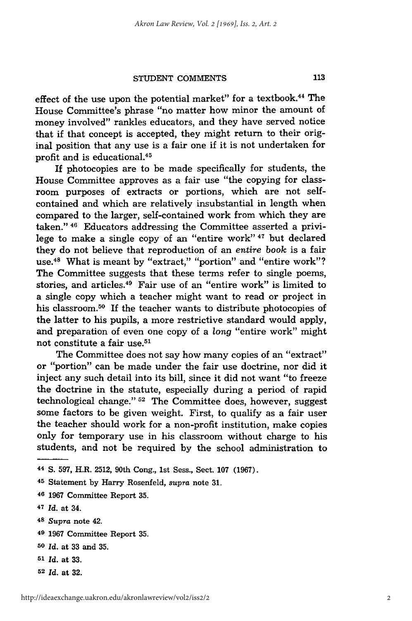effect of the use upon the potential market" for a textbook.<sup>44</sup> The House Committee's phrase "no matter how minor the amount of money involved" rankles educators, and they have served notice that if that concept is accepted, they might return to their original position that any use is a fair one if it is not undertaken for profit and is educational.<sup>45</sup>

If photocopies are to be made specifically for students, the House Committee approves as a fair use "the copying for classroom purposes of extracts or portions, which are not selfcontained and which are relatively insubstantial in length when compared to the larger, self-contained work from which they are taken." **46** Educators addressing the Committee asserted a privilege to make a single copy of an "entire work" 47 but declared they do not believe that reproduction of an entire book is a fair use.<sup>48</sup> What is meant by "extract," "portion" and "entire work"? The Committee suggests that these terms refer to single poems, stories, and articles.49 Fair use of an "entire work" is limited to a single copy which a teacher might want to read or project in his classroom.<sup>50</sup> If the teacher wants to distribute photocopies of the latter to his pupils, a more restrictive standard would apply, and preparation of even one copy of a long "entire work" might not constitute a fair use.<sup>51</sup>

The Committee does not say how many copies of an "extract" or "portion" can be made under the fair use doctrine, nor did it inject any such detail into its bill, since it did not want "to freeze the doctrine in the statute, especially during a period of rapid technological change." **52** The Committee does, however, suggest some factors to be given weight. First, to qualify as a fair user the teacher should work for a non-profit institution, make copies only for temporary use in his classroom without charge to his students, and not be required by the school administration to

**<sup>49</sup>**1967 Committee Report **35.**

- **<sup>51</sup>***Id.* at **33.**
- **<sup>52</sup>***Id.* at **32.**

<sup>44</sup>**S.** 597, H.R. 2512, 90th Cong., 1st Sess., Sect. 107 (1967).

**<sup>45</sup>**Statement **by** Harry Rosenfeld, supra note **31.**

**<sup>46</sup>** 1967 Committee Report **35.**

<sup>47</sup>*Id.* at 34.

**<sup>48</sup>***Supra* note 42.

**<sup>50</sup>***Id.* at 33 and 35.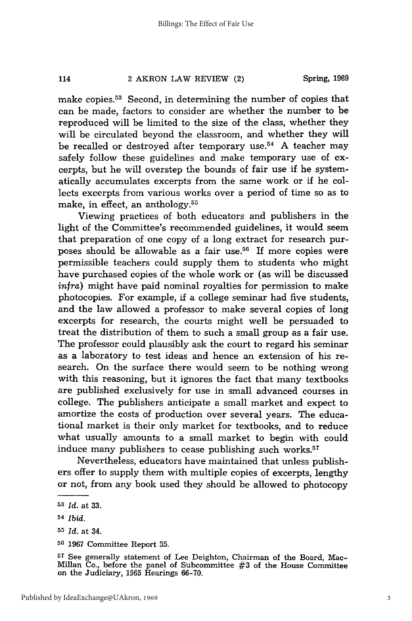make copies.53 Second, in determining the number of copies that can be made, factors to consider are whether the number to be reproduced will be limited to the size of the class, whether they will be circulated beyond the classroom, and whether they will be recalled or destroyed after temporary use.<sup>54</sup> A teacher may safely follow these guidelines and make temporary use of excerpts, but he will overstep the bounds of fair use if he systematically accumulates excerpts from the same work or if he collects excerpts from various works over a period of time so as to make, in effect, an anthology.55

Viewing practices of both educators and publishers in the light of the Committee's recommended guidelines, it would seem that preparation of one copy of a long extract for research purposes should be allowable as a fair use.<sup>56</sup> If more copies were permissible teachers could supply them to students who might have purchased copies of the whole work or (as will be discussed *infra)* might have paid nominal royalties for permission to make photocopies. For example, if a college seminar had five students, and the law allowed a professor to make several copies of long excerpts for research, the courts might well be persuaded to treat the distribution of them to such a small group as a fair use. The professor could plausibly ask the court to regard his seminar as a laboratory to test ideas and hence an extension of his research. On the surface there would seem to be nothing wrong with this reasoning, but it ignores the fact that many textbooks are published exclusively for use in small advanced courses in college. The publishers anticipate a small market and expect to amortize the costs of production over several years. The educational market is their only market for textbooks, and to reduce what usually amounts to a small market to begin with could induce many publishers to cease publishing such works.<sup>57</sup>

Nevertheless, educators have maintained that unless publishers offer to supply them with multiple copies of excerpts, lengthy or not, from any book used they should be allowed to photocopy

**<sup>53</sup>***Id.* at **33.**

**<sup>54</sup>***Ibid.*

**<sup>55</sup>***Id.* at 34.

**<sup>56 1967</sup>** Committee Report **35.**

**<sup>57</sup>** See generally statement of Lee Deighton, Chairman of the Board, Mac-Millan Co., before the panel of Subcommittee **#3** of the House Committee on the Judiciary, **1965** Hearings **66-70.**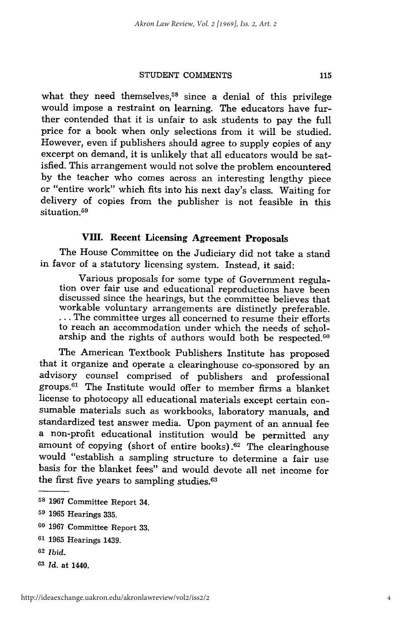what they need themselves,<sup>58</sup> since a denial of this privilege would impose a restraint on learning. The educators have further contended that it is unfair to ask students to pay the full price for a book when only selections from it will be studied. However, even if publishers should agree to supply copies of any excerpt on demand, it is unlikely that all educators would be satisfied. This arrangement would not solve the problem encountered by the teacher who comes across an interesting lengthy piece or "entire work" which fits into his next day's class. Waiting for delivery of copies from the publisher is not feasible in this situation. <sup>59</sup>

# **VIII.** Recent Licensing Agreement Proposals

The House Committee on the Judiciary did not take a stand in favor of a statutory licensing system. Instead, it said:

Various proposals for some type of Government regula- tion over fair use and educational reproductions have been discussed since the hearings, but the committee believes that workable voluntary arrangements are distinctly preferable. **...** The committee urges all concerned to resume their efforts to reach an accommodation under which the needs of scholarship and the rights of authors would both be respected.<sup>60</sup>

The American Textbook Publishers Institute has proposed that it organize and operate a clearinghouse co-sponsored by an advisory counsel comprised of publishers and professional groups.<sup>61</sup> The Institute would offer to member firms a blanket license to photocopy all educational materials except certain consumable materials such as workbooks, laboratory manuals, and standardized test answer media. Upon payment of an annual fee a non-profit educational institution would be permitted any amount of copying (short of entire books).<sup>62</sup> The clearinghouse would "establish a sampling structure to determine a fair use basis for the blanket fees" and would devote all net income for the first five years to sampling studies.<sup>63</sup>

**<sup>58 1967</sup>** Committee Report 34.

**<sup>59</sup>**1965 Hearings 335.

**<sup>60</sup>**1967 Committee Report 33.

**<sup>61</sup>**1965 Hearings 1439.

**<sup>62</sup>***Ibid.*

**<sup>63</sup>***Id.* at 1440.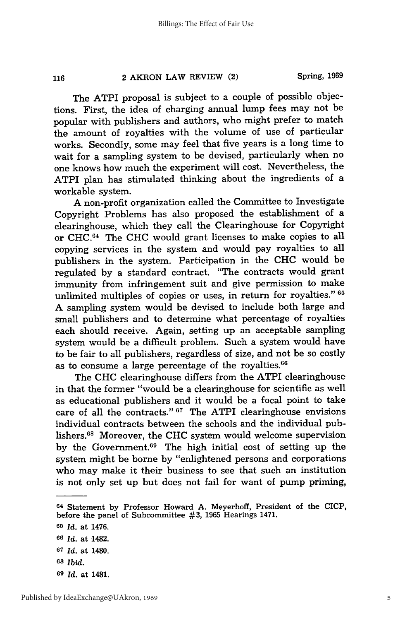116

The ATPI proposal is subject to a couple of possible objections. First, the idea of charging annual lump fees may not be popular with publishers and authors, who might prefer to match the amount of royalties with the volume of use of particular works. Secondly, some may feel that five years is a long time to wait for a sampling system to be devised, particularly when no one knows how much the experiment will cost. Nevertheless, the ATPI plan has stimulated thinking about the ingredients of a workable system.

A non-profit organization called the Committee to Investigate Copyright Problems has also proposed the establishment of a clearinghouse, which they call the Clearinghouse for Copyright or CHC.64 The CHC would grant licenses to make copies to all copying services in the system and would pay royalties to all publishers in the system. Participation in the CHC would be regulated by a standard contract. "The contracts would grant immunity from infringement suit and give permission to make unlimited multiples of copies or uses, in return for royalties." **65** A sampling system would be devised to include both large and small publishers and to determine what percentage of royalties each should receive. Again, setting up an acceptable sampling system would be a difficult problem. Such a system would have to be fair to all publishers, regardless of size, and not be so costly as to consume a large percentage of the royalties.<sup>66</sup>

The CHC clearinghouse differs from the ATPI clearinghouse in that the former "would be a clearinghouse for scientific as well as educational publishers and it would be a focal point to take care of all the contracts."<sup>67</sup> The ATPI clearinghouse envisions individual contracts between the schools and the individual publishers. 68 Moreover, the CHC system would welcome supervision by the Government.69 The high initial cost of setting up the system might be borne by "enlightened persons and corporations who may make it their business to see that such an institution is not only set up but does not fail for want of pump priming,

<sup>64</sup> Statement by Professor Howard A. Meyerhoff, President of the CICP, before the panel of Subcommittee #3, 1965 Hearings 1471.

**<sup>65</sup>***Id.* at 1476. *<sup>66</sup>Id.* at 1482. **<sup>67</sup>***Id.* at 1480. **<sup>68</sup>***Ibid.* **<sup>69</sup>***Id.* at 1481.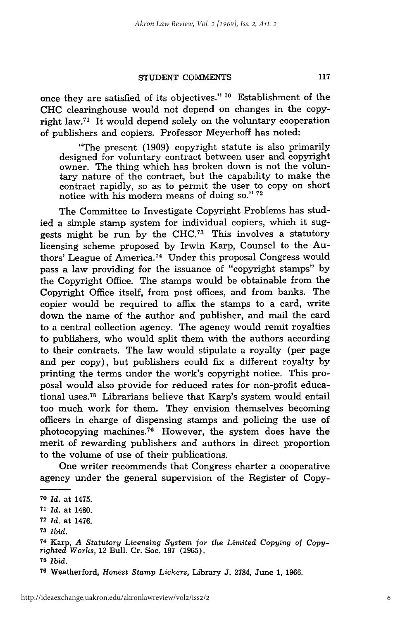once they are satisfied of its objectives." **70** Establishment of the CHC clearinghouse would not depend on changes in the copyright law.<sup>71</sup> It would depend solely on the voluntary cooperation of publishers and copiers. Professor Meyerhoff has noted:

"The present (1909) copyright statute is also primarily designed for voluntary contract between user and copyright owner. The thing which has broken down is not the voluntary nature of the contract, but the capability to make the contract rapidly, so as to permit the user to copy on short notice with his modern means of doing so." **<sup>72</sup>**

The Committee to Investigate Copyright Problems has studied a simple stamp system for individual copiers, which it suggests might be run by the CHC.<sup> $73$ </sup> This involves a statutory licensing scheme proposed by Irwin Karp, Counsel to the Authors' League of America.<sup>74</sup> Under this proposal Congress would pass a law providing for the issuance of "copyright stamps" by the Copyright Office. The stamps would be obtainable from the Copyright Office itself, from post offices, and from banks. The copier would be required to affix the stamps to a card, write down the name of the author and publisher, and mail the card to a central collection agency. The agency would remit royalties to publishers, who would split them with the authors according to their contracts. The law would stipulate a royalty (per page and per copy), but publishers could fix a different royalty by printing the terms under the work's copyright notice. This proposal would also provide for reduced rates for non-profit educational uses.<sup>75</sup> Librarians believe that Karp's system would entail too much work for them. They envision themselves becoming officers in charge of dispensing stamps and policing the use of photocopying machines.<sup>76</sup> However, the system does have the merit of rewarding publishers and authors in direct proportion to the volume of use of their publications.

One writer recommends that Congress charter a cooperative agency under the general supervision of the Register of Copy-

**<sup>70</sup>** Id. at 1475. **<sup>71</sup>***Id.* at 1480. **72** Id. at 1476. **73** Ibid. **74** Karp, *A Statutory Licensing* System *for the Limited Copying of Copyrighted Works,* 12 Bull. Cr. Soc. 197 (1965). **<sup>75</sup>***Ibid.*

**<sup>76</sup>**Weatherford, *Honest Stamp Lickers,* Library J. 2784, June 1, 1966.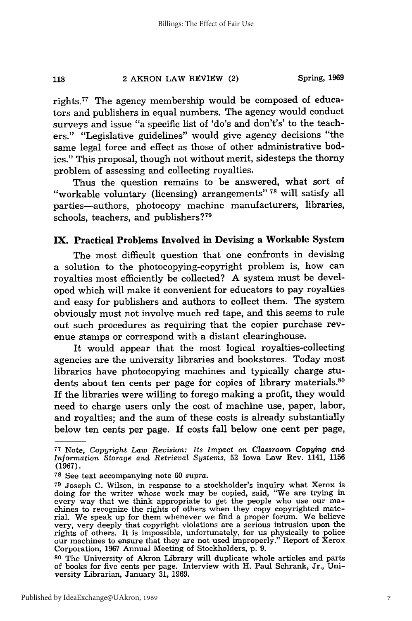rights.<sup>77</sup> The agency membership would be composed of educators and publishers in equal numbers. The agency would conduct surveys and issue "a specific list of 'do's and don't's' to the teachers." "Legislative guidelines" would give agency decisions "the same legal force and effect as those of other administrative bodies." This proposal, though not without merit, sidesteps the thorny problem of assessing and collecting royalties.

Thus the question remains to be answered, what sort of "workable voluntary (licensing) arrangements" **78** will satisfy all parties-authors, photocopy machine manufacturers, libraries, schools, teachers, and publishers? <sup>79</sup>

## **IX.** Practical Problems Involved in Devising a Workable System

The most difficult question that one confronts in devising a solution to the photocopying-copyright problem is, how can royalties most efficiently be collected? **A** system must be developed which will make it convenient for educators to pay royalties and easy for publishers and authors to collect them. The system obviously must not involve much red tape, and this seems to rule out such procedures as requiring that the copier purchase revenue stamps or correspond with a distant clearinghouse.

It would appear that the most logical royalties-collecting agencies are the university libraries and bookstores. Today most libraries have photocopying machines and typically charge students about ten cents per page for copies of library materials.<sup>80</sup> If the libraries were willing to forego making a profit, they would need to charge users only the cost of machine use, paper, labor, and royalties; and the sum of these costs is already substantially below ten cents per page. If costs fall below one cent per page,

**<sup>80</sup>**The University of Akron Library will duplicate whole articles and parts of books for five cents per page. Interview with H. Paul Schrank, Jr., University Librarian, January 31, 1969.

**<sup>77</sup>**Note, *Copyright Law Revision: Its Impact on Classroom Copying and Information Storage and Retrieval Systems,* 52 Iowa Law Rev. 1141, 1156 (1967).

**<sup>78</sup>**See text accompanying note 60 *supra.*

<sup>79</sup> Joseph C. Wilson, in response to a stockholder's inquiry what Xerox is doing for the writer whose work may be copied, said, "We are trying in every way that we think appropriate to get the people who use our ma-chines to recognize the rights of others when they copy copyrighted mate-rial. We speak up for them whenever we find a proper forum. We believe very, very deeply that copyright violations are a serious intrusion upon the rights of others. It is impossible, unfortunately, for us physically to police our machines to ensure that they are not used improperly." Report of Xerox Corporation, 1967 Annual Meeting of Stockholders, p. 9.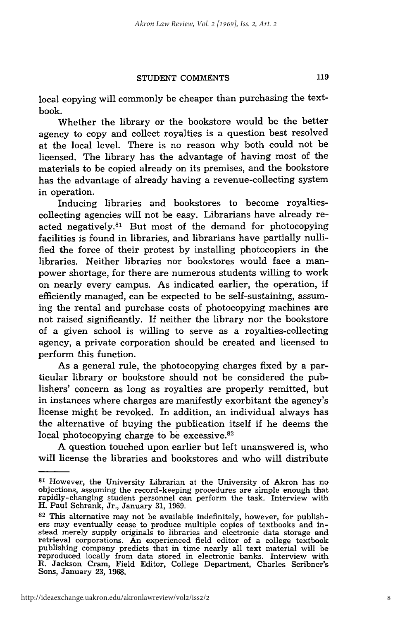local copying will commonly be cheaper than purchasing the textbook.

Whether the library or the bookstore would be the better agency to copy and collect royalties is a question best resolved at the local level. There is no reason why both could not be licensed. The library has the advantage of having most of the materials to be copied already on its premises, and the bookstore has the advantage of already having a revenue-collecting system in operation.

Inducing libraries and bookstores to become royaltiescollecting agencies will not be easy. Librarians have already reacted negatively. $81$  But most of the demand for photocopying facilities is found in libraries, and librarians have partially nullified the force of their protest by installing photocopiers in the libraries. Neither libraries nor bookstores would face a manpower shortage, for there are numerous students willing to work on nearly every campus. As indicated earlier, the operation, if efficiently managed, can be expected to be self-sustaining, assuming the rental and purchase costs of photocopying machines are not raised significantly. If neither the library nor the bookstore of a given school is willing to serve as a royalties-collecting agency, a private corporation should be created and licensed to perform this function.

As a general rule, the photocopying charges fixed by a particular library or bookstore should not be considered the publishers' concern as long as royalties are properly remitted, but in instances where charges are manifestly exorbitant the agency's license might be revoked. In addition, an individual always has the alternative of buying the publication itself if he deems the local photocopying charge to be excessive. $82$ 

A question touched upon earlier but left unanswered is, who will license the libraries and bookstores and who will distribute

**<sup>81</sup>**However, the University Librarian at the University of Akron has no objections, assuming the record-keeping procedures are simple enough that rapidly-changing student personnel can perform the task. Interview with H. Paul Schrank, Jr., January 31, 1969.

**<sup>82</sup>** This alternative may not be available indefinitely, however, for publishers may eventually cease to produce multiple copies of textbooks and instead merely supply originals to libraries and electronic data storage and retrieval corporations. An experienced field editor of a college textbook publishing company predicts that in time nearly all text material will be reproduced locally from data stored in electronic banks. Interview with R. Jackson Cram, Field Editor, College Department, Charles Scribner's Sons, January 23, 1968.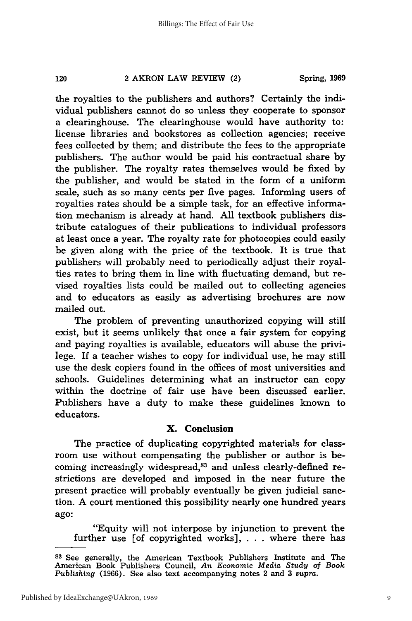the royalties to the publishers and authors? Certainly the individual publishers cannot do so unless they cooperate to sponsor a clearinghouse. The clearinghouse would have authority to: license libraries and bookstores as collection agencies; receive fees collected by them; and distribute the fees to the appropriate publishers. The author would be paid his contractual share by the publisher. The royalty rates themselves would be fixed by the publisher, and would be stated in the form of a uniform scale, such as so many cents per five pages. Informing users of royalties rates should be a simple task, for an effective information mechanism is already at hand. All textbook publishers distribute catalogues of their publications to individual professors at least once a year. The royalty rate for photocopies could easily be given along with the price of the textbook. It is true that publishers will probably need to periodically adjust their royalties rates to bring them in line with fluctuating demand, but revised royalties lists could be mailed out to collecting agencies and to educators as easily as advertising brochures are now mailed out.

The problem of preventing unauthorized copying will still exist, but it seems unlikely that once a fair system for copying and paying royalties is available, educators will abuse the privilege. If a teacher wishes to copy for individual use, he may still use the desk copiers found in the offices of most universities and schools. Guidelines determining what an instructor can copy within the doctrine of fair use have been discussed earlier. Publishers have a duty to make these guidelines known to educators.

# **X. Conclusion**

The practice of duplicating copyrighted materials for classroom use without compensating the publisher or author is becoming increasingly widespread,<sup>83</sup> and unless clearly-defined restrictions are developed and imposed in the near future the present practice will probably eventually be given judicial sanction. A court mentioned this possibility nearly one hundred years ago:

"Equity will not interpose by injunction to prevent the further use [of copyrighted works], . **.** . where there has

**<sup>83</sup>**See generally, the American Textbook Publishers Institute and The American Book Publishers Council, *An Economic Media Study of Book Publishing* (1966). See also text accompanying notes 2 and 3 *supra.*